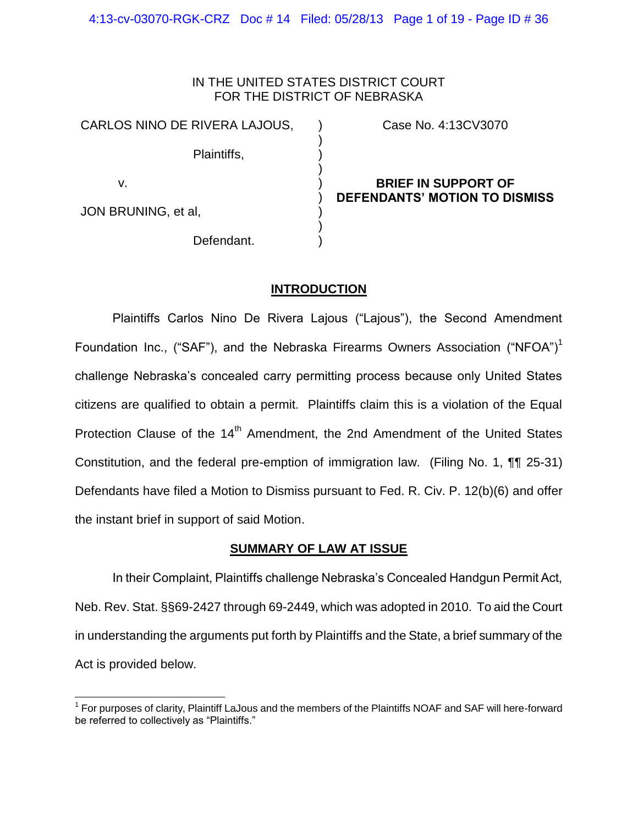### IN THE UNITED STATES DISTRICT COURT FOR THE DISTRICT OF NEBRASKA

) ) ) ) ) ) ) ) )

CARLOS NINO DE RIVERA LAJOUS,

Plaintiffs,

v.

 $\overline{a}$ 

JON BRUNING, et al,

Defendant.

Case No. 4:13CV3070

## **BRIEF IN SUPPORT OF DEFENDANTS' MOTION TO DISMISS**

## **INTRODUCTION**

Plaintiffs Carlos Nino De Rivera Lajous ("Lajous"), the Second Amendment Foundation Inc., ("SAF"), and the Nebraska Firearms Owners Association ("NFOA")<sup>1</sup> challenge Nebraska's concealed carry permitting process because only United States citizens are qualified to obtain a permit. Plaintiffs claim this is a violation of the Equal Protection Clause of the 14<sup>th</sup> Amendment, the 2nd Amendment of the United States Constitution, and the federal pre-emption of immigration law. (Filing No. 1, ¶¶ 25-31) Defendants have filed a Motion to Dismiss pursuant to Fed. R. Civ. P. 12(b)(6) and offer the instant brief in support of said Motion.

## **SUMMARY OF LAW AT ISSUE**

In their Complaint, Plaintiffs challenge Nebraska's Concealed Handgun Permit Act, Neb. Rev. Stat. §§69-2427 through 69-2449, which was adopted in 2010. To aid the Court in understanding the arguments put forth by Plaintiffs and the State, a brief summary of the Act is provided below.

<sup>&</sup>lt;sup>1</sup> For purposes of clarity, Plaintiff LaJous and the members of the Plaintiffs NOAF and SAF will here-forward be referred to collectively as "Plaintiffs."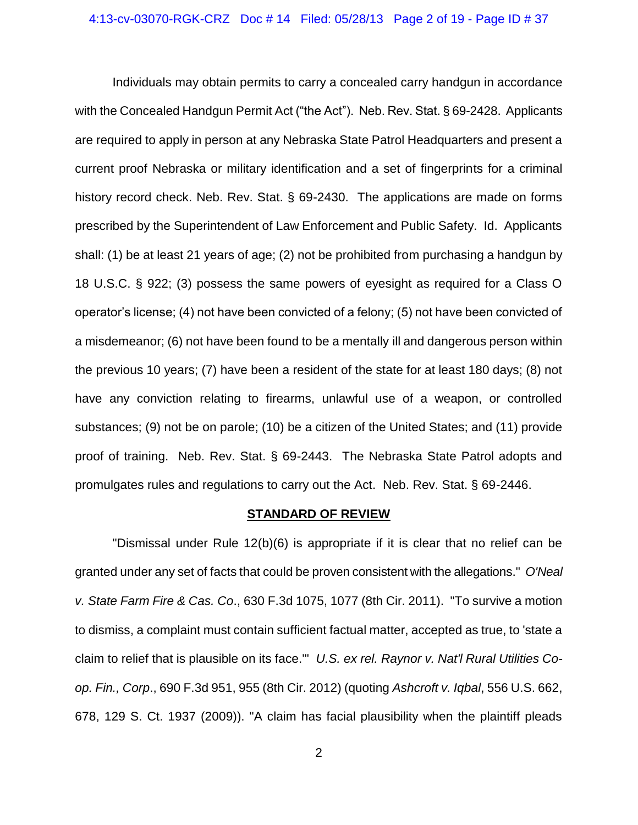Individuals may obtain permits to carry a concealed carry handgun in accordance with the Concealed Handgun Permit Act ("the Act"). Neb. Rev. Stat. § 69-2428. Applicants are required to apply in person at any Nebraska State Patrol Headquarters and present a current proof Nebraska or military identification and a set of fingerprints for a criminal history record check. Neb. Rev. Stat. § 69-2430. The applications are made on forms prescribed by the Superintendent of Law Enforcement and Public Safety. Id. Applicants shall: (1) be at least 21 years of age; (2) not be prohibited from purchasing a handgun by 18 U.S.C. § 922; (3) possess the same powers of eyesight as required for a Class O operator's license; (4) not have been convicted of a felony; (5) not have been convicted of a misdemeanor; (6) not have been found to be a mentally ill and dangerous person within the previous 10 years; (7) have been a resident of the state for at least 180 days; (8) not have any conviction relating to firearms, unlawful use of a weapon, or controlled substances; (9) not be on parole; (10) be a citizen of the United States; and (11) provide proof of training. Neb. Rev. Stat. § 69-2443. The Nebraska State Patrol adopts and promulgates rules and regulations to carry out the Act. Neb. Rev. Stat. § 69-2446.

#### **STANDARD OF REVIEW**

"Dismissal under Rule 12(b)(6) is appropriate if it is clear that no relief can be granted under any set of facts that could be proven consistent with the allegations." *O'Neal v. State Farm Fire & Cas. Co*., 630 F.3d 1075, 1077 (8th Cir. 2011). "To survive a motion to dismiss, a complaint must contain sufficient factual matter, accepted as true, to 'state a claim to relief that is plausible on its face.'" *U.S. ex rel. Raynor v. Nat'l Rural Utilities Coop. Fin., Corp*., 690 F.3d 951, 955 (8th Cir. 2012) (quoting *Ashcroft v. Iqbal*, 556 U.S. 662, 678, 129 S. Ct. 1937 (2009)). "A claim has facial plausibility when the plaintiff pleads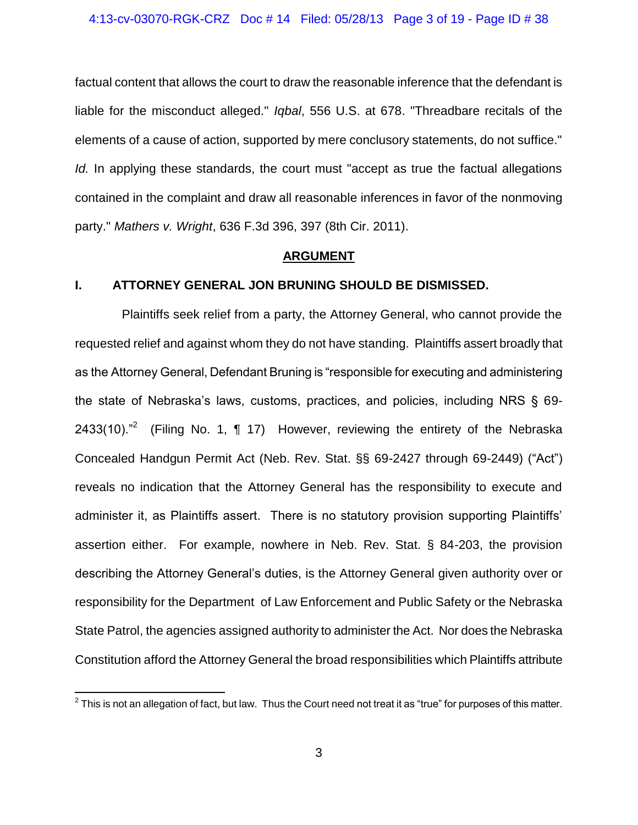factual content that allows the court to draw the reasonable inference that the defendant is liable for the misconduct alleged." *Iqbal*, 556 U.S. at 678. "Threadbare recitals of the elements of a cause of action, supported by mere conclusory statements, do not suffice." *Id.* In applying these standards, the court must "accept as true the factual allegations contained in the complaint and draw all reasonable inferences in favor of the nonmoving party." *Mathers v. Wright*, 636 F.3d 396, 397 (8th Cir. 2011).

### **ARGUMENT**

### **I. ATTORNEY GENERAL JON BRUNING SHOULD BE DISMISSED.**

Plaintiffs seek relief from a party, the Attorney General, who cannot provide the requested relief and against whom they do not have standing. Plaintiffs assert broadly that as the Attorney General, Defendant Bruning is "responsible for executing and administering the state of Nebraska's laws, customs, practices, and policies, including NRS § 69- 2433(10). $n^2$  (Filing No. 1, ¶ 17) However, reviewing the entirety of the Nebraska Concealed Handgun Permit Act (Neb. Rev. Stat. §§ 69-2427 through 69-2449) ("Act") reveals no indication that the Attorney General has the responsibility to execute and administer it, as Plaintiffs assert. There is no statutory provision supporting Plaintiffs' assertion either. For example, nowhere in Neb. Rev. Stat. § 84-203, the provision describing the Attorney General's duties, is the Attorney General given authority over or responsibility for the Department of Law Enforcement and Public Safety or the Nebraska State Patrol, the agencies assigned authority to administer the Act. Nor does the Nebraska Constitution afford the Attorney General the broad responsibilities which Plaintiffs attribute

 2 This is not an allegation of fact, but law. Thus the Court need not treat it as "true" for purposes of this matter.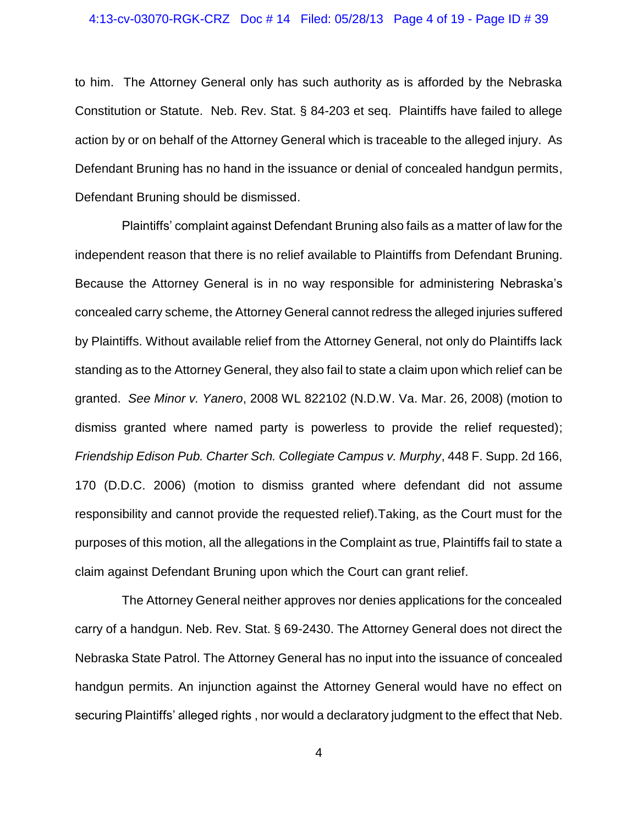### 4:13-cv-03070-RGK-CRZ Doc # 14 Filed: 05/28/13 Page 4 of 19 - Page ID # 39

to him. The Attorney General only has such authority as is afforded by the Nebraska Constitution or Statute. Neb. Rev. Stat. § 84-203 et seq. Plaintiffs have failed to allege action by or on behalf of the Attorney General which is traceable to the alleged injury. As Defendant Bruning has no hand in the issuance or denial of concealed handgun permits, Defendant Bruning should be dismissed.

Plaintiffs' complaint against Defendant Bruning also fails as a matter of law for the independent reason that there is no relief available to Plaintiffs from Defendant Bruning. Because the Attorney General is in no way responsible for administering Nebraska's concealed carry scheme, the Attorney General cannot redress the alleged injuries suffered by Plaintiffs. Without available relief from the Attorney General, not only do Plaintiffs lack standing as to the Attorney General, they also fail to state a claim upon which relief can be granted. *See Minor v. Yanero*, 2008 WL 822102 (N.D.W. Va. Mar. 26, 2008) (motion to dismiss granted where named party is powerless to provide the relief requested); *Friendship Edison Pub. Charter Sch. Collegiate Campus v. Murphy*, 448 F. Supp. 2d 166, 170 (D.D.C. 2006) (motion to dismiss granted where defendant did not assume responsibility and cannot provide the requested relief).Taking, as the Court must for the purposes of this motion, all the allegations in the Complaint as true, Plaintiffs fail to state a claim against Defendant Bruning upon which the Court can grant relief.

The Attorney General neither approves nor denies applications for the concealed carry of a handgun. Neb. Rev. Stat. § 69-2430. The Attorney General does not direct the Nebraska State Patrol. The Attorney General has no input into the issuance of concealed handgun permits. An injunction against the Attorney General would have no effect on securing Plaintiffs' alleged rights , nor would a declaratory judgment to the effect that Neb.

4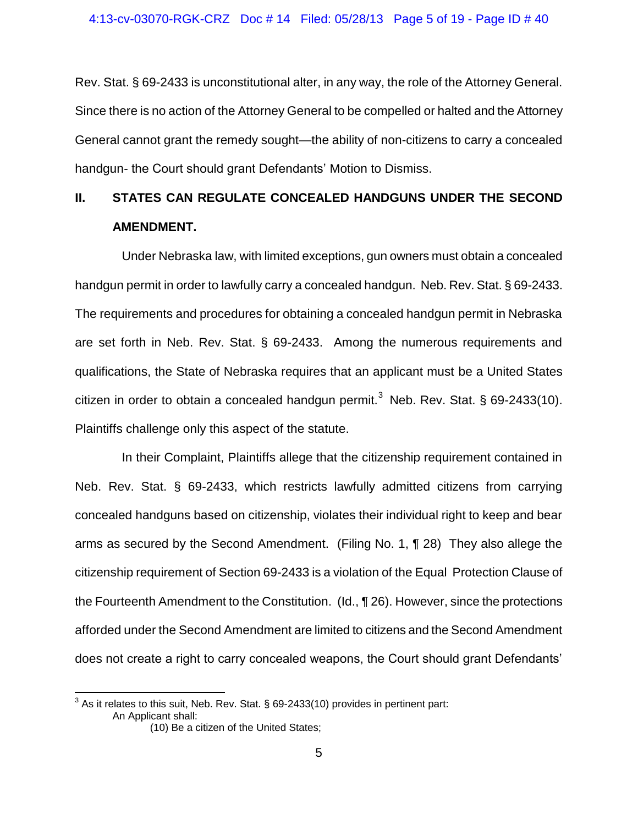Rev. Stat. § 69-2433 is unconstitutional alter, in any way, the role of the Attorney General. Since there is no action of the Attorney General to be compelled or halted and the Attorney General cannot grant the remedy sought—the ability of non-citizens to carry a concealed handgun- the Court should grant Defendants' Motion to Dismiss.

## **II. STATES CAN REGULATE CONCEALED HANDGUNS UNDER THE SECOND AMENDMENT.**

Under Nebraska law, with limited exceptions, gun owners must obtain a concealed handgun permit in order to lawfully carry a concealed handgun. Neb. Rev. Stat. § 69-2433. The requirements and procedures for obtaining a concealed handgun permit in Nebraska are set forth in Neb. Rev. Stat. § 69-2433. Among the numerous requirements and qualifications, the State of Nebraska requires that an applicant must be a United States citizen in order to obtain a concealed handgun permit.<sup>3</sup> Neb. Rev. Stat. § 69-2433(10). Plaintiffs challenge only this aspect of the statute.

In their Complaint, Plaintiffs allege that the citizenship requirement contained in Neb. Rev. Stat. § 69-2433, which restricts lawfully admitted citizens from carrying concealed handguns based on citizenship, violates their individual right to keep and bear arms as secured by the Second Amendment. (Filing No. 1, ¶ 28) They also allege the citizenship requirement of Section 69-2433 is a violation of the Equal Protection Clause of the Fourteenth Amendment to the Constitution. (Id., ¶ 26). However, since the protections afforded under the Second Amendment are limited to citizens and the Second Amendment does not create a right to carry concealed weapons, the Court should grant Defendants'

 $\overline{\phantom{a}}$ 

 $^3$  As it relates to this suit, Neb. Rev. Stat. § 69-2433(10) provides in pertinent part: An Applicant shall: (10) Be a citizen of the United States;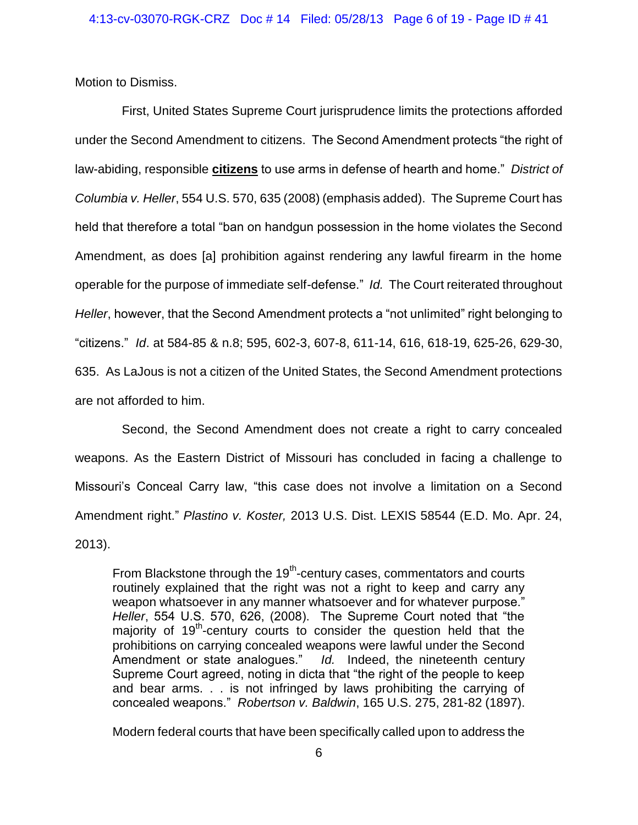Motion to Dismiss.

First, United States Supreme Court jurisprudence limits the protections afforded under the Second Amendment to citizens. The Second Amendment protects "the right of law-abiding, responsible **citizens** to use arms in defense of hearth and home." *District of Columbia v. Heller*, 554 U.S. 570, 635 (2008) (emphasis added). The Supreme Court has held that therefore a total "ban on handgun possession in the home violates the Second Amendment, as does [a] prohibition against rendering any lawful firearm in the home operable for the purpose of immediate self-defense." *Id.* The Court reiterated throughout *Heller*, however, that the Second Amendment protects a "not unlimited" right belonging to "citizens." *Id*. at 584-85 & n.8; 595, 602-3, 607-8, 611-14, 616, 618-19, 625-26, 629-30, 635. As LaJous is not a citizen of the United States, the Second Amendment protections are not afforded to him.

Second, the Second Amendment does not create a right to carry concealed weapons. As the Eastern District of Missouri has concluded in facing a challenge to Missouri's Conceal Carry law, "this case does not involve a limitation on a Second Amendment right." *Plastino v. Koster,* 2013 U.S. Dist. LEXIS 58544 (E.D. Mo. Apr. 24, 2013).

From Blackstone through the 19<sup>th</sup>-century cases, commentators and courts routinely explained that the right was not a right to keep and carry any weapon whatsoever in any manner whatsoever and for whatever purpose." *Heller*, 554 U.S. 570, 626, (2008). The Supreme Court noted that "the majority of 19<sup>th</sup>-century courts to consider the question held that the prohibitions on carrying concealed weapons were lawful under the Second Amendment or state analogues." *Id.* Indeed, the nineteenth century Supreme Court agreed, noting in dicta that "the right of the people to keep and bear arms. . . is not infringed by laws prohibiting the carrying of concealed weapons." *Robertson v. Baldwin*, 165 U.S. 275, 281-82 (1897).

Modern federal courts that have been specifically called upon to address the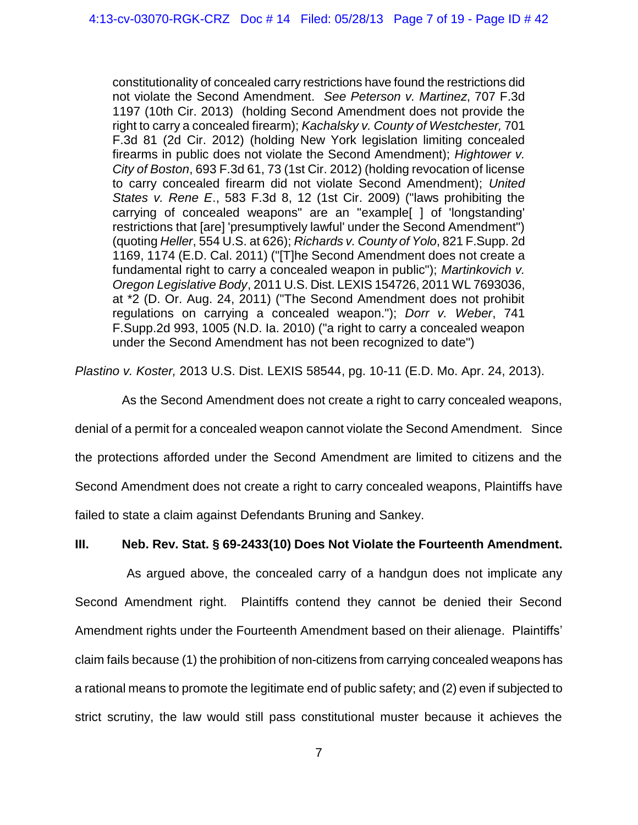constitutionality of concealed carry restrictions have found the restrictions did not violate the Second Amendment. *See Peterson v. Martinez*, 707 F.3d 1197 (10th Cir. 2013) (holding Second Amendment does not provide the right to carry a concealed firearm); *Kachalsky v. County of Westchester,* 701 F.3d 81 (2d Cir. 2012) (holding New York legislation limiting concealed firearms in public does not violate the Second Amendment); *Hightower v. City of Boston*, 693 F.3d 61, 73 (1st Cir. 2012) (holding revocation of license to carry concealed firearm did not violate Second Amendment); *United States v. Rene E*., 583 F.3d 8, 12 (1st Cir. 2009) ("laws prohibiting the carrying of concealed weapons" are an "example[ ] of 'longstanding' restrictions that [are] 'presumptively lawful' under the Second Amendment") (quoting *Heller*, 554 U.S. at 626); *Richards v. County of Yolo*, 821 F.Supp. 2d 1169, 1174 (E.D. Cal. 2011) ("[T]he Second Amendment does not create a fundamental right to carry a concealed weapon in public"); *Martinkovich v. Oregon Legislative Body*, 2011 U.S. Dist. LEXIS 154726, 2011 WL 7693036, at \*2 (D. Or. Aug. 24, 2011) ("The Second Amendment does not prohibit regulations on carrying a concealed weapon."); *Dorr v. Weber*, 741 F.Supp.2d 993, 1005 (N.D. Ia. 2010) ("a right to carry a concealed weapon under the Second Amendment has not been recognized to date")

*Plastino v. Koster,* 2013 U.S. Dist. LEXIS 58544, pg. 10-11 (E.D. Mo. Apr. 24, 2013).

As the Second Amendment does not create a right to carry concealed weapons, denial of a permit for a concealed weapon cannot violate the Second Amendment. Since the protections afforded under the Second Amendment are limited to citizens and the Second Amendment does not create a right to carry concealed weapons, Plaintiffs have failed to state a claim against Defendants Bruning and Sankey.

## **III. Neb. Rev. Stat. § 69-2433(10) Does Not Violate the Fourteenth Amendment.**

As argued above, the concealed carry of a handgun does not implicate any Second Amendment right. Plaintiffs contend they cannot be denied their Second Amendment rights under the Fourteenth Amendment based on their alienage. Plaintiffs' claim fails because (1) the prohibition of non-citizens from carrying concealed weapons has a rational means to promote the legitimate end of public safety; and (2) even if subjected to strict scrutiny, the law would still pass constitutional muster because it achieves the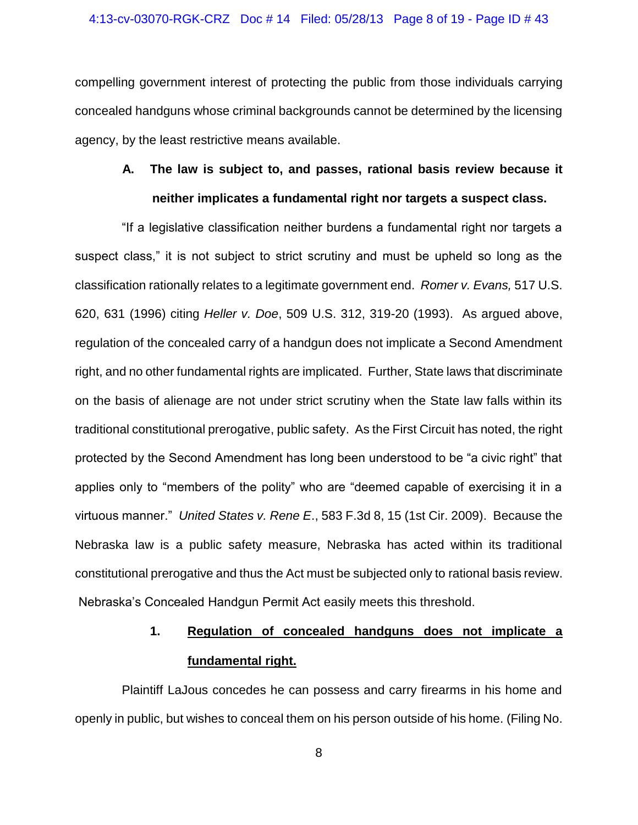### 4:13-cv-03070-RGK-CRZ Doc # 14 Filed: 05/28/13 Page 8 of 19 - Page ID # 43

compelling government interest of protecting the public from those individuals carrying concealed handguns whose criminal backgrounds cannot be determined by the licensing agency, by the least restrictive means available.

## **A. The law is subject to, and passes, rational basis review because it neither implicates a fundamental right nor targets a suspect class.**

"If a legislative classification neither burdens a fundamental right nor targets a suspect class," it is not subject to strict scrutiny and must be upheld so long as the classification rationally relates to a legitimate government end. *Romer v. Evans,* 517 U.S. 620, 631 (1996) citing *Heller v. Doe*, 509 U.S. 312, 319-20 (1993). As argued above, regulation of the concealed carry of a handgun does not implicate a Second Amendment right, and no other fundamental rights are implicated. Further, State laws that discriminate on the basis of alienage are not under strict scrutiny when the State law falls within its traditional constitutional prerogative, public safety. As the First Circuit has noted, the right protected by the Second Amendment has long been understood to be "a civic right" that applies only to "members of the polity" who are "deemed capable of exercising it in a virtuous manner." *United States v. Rene E*., 583 F.3d 8, 15 (1st Cir. 2009). Because the Nebraska law is a public safety measure, Nebraska has acted within its traditional constitutional prerogative and thus the Act must be subjected only to rational basis review. Nebraska's Concealed Handgun Permit Act easily meets this threshold.

## **1. Regulation of concealed handguns does not implicate a fundamental right.**

Plaintiff LaJous concedes he can possess and carry firearms in his home and openly in public, but wishes to conceal them on his person outside of his home. (Filing No.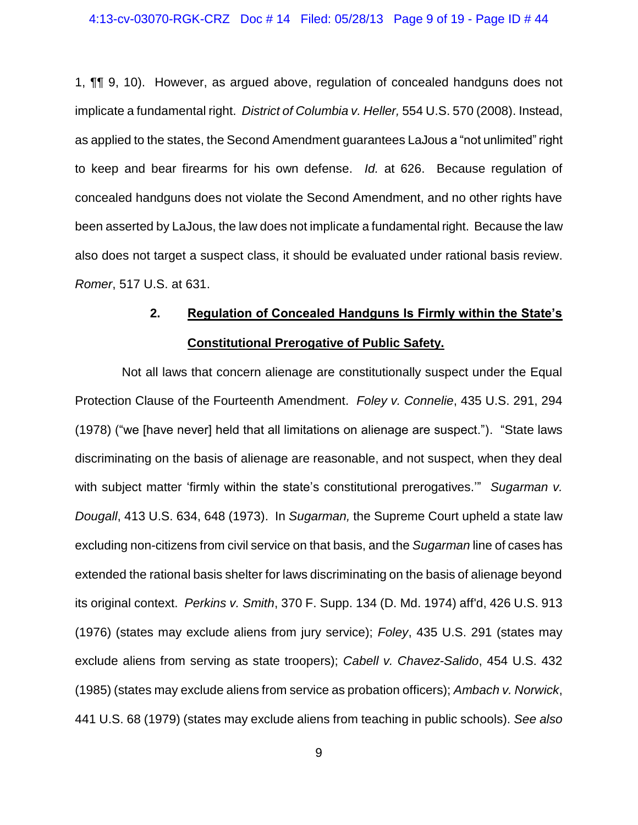1, ¶¶ 9, 10). However, as argued above, regulation of concealed handguns does not implicate a fundamental right. *District of Columbia v. Heller,* 554 U.S. 570 (2008). Instead, as applied to the states, the Second Amendment guarantees LaJous a "not unlimited" right to keep and bear firearms for his own defense. *Id.* at 626. Because regulation of concealed handguns does not violate the Second Amendment, and no other rights have been asserted by LaJous, the law does not implicate a fundamental right. Because the law also does not target a suspect class, it should be evaluated under rational basis review. *Romer*, 517 U.S. at 631.

## **2. Regulation of Concealed Handguns Is Firmly within the State's Constitutional Prerogative of Public Safety.**

Not all laws that concern alienage are constitutionally suspect under the Equal Protection Clause of the Fourteenth Amendment. *Foley v. Connelie*, 435 U.S. 291, 294 (1978) ("we [have never] held that all limitations on alienage are suspect."). "State laws discriminating on the basis of alienage are reasonable, and not suspect, when they deal with subject matter 'firmly within the state's constitutional prerogatives.'" *Sugarman v. Dougall*, 413 U.S. 634, 648 (1973). In *Sugarman,* the Supreme Court upheld a state law excluding non-citizens from civil service on that basis, and the *Sugarman* line of cases has extended the rational basis shelter for laws discriminating on the basis of alienage beyond its original context. *Perkins v. Smith*, 370 F. Supp. 134 (D. Md. 1974) aff'd, 426 U.S. 913 (1976) (states may exclude aliens from jury service); *Foley*, 435 U.S. 291 (states may exclude aliens from serving as state troopers); *Cabell v. Chavez-Salido*, 454 U.S. 432 (1985) (states may exclude aliens from service as probation officers); *Ambach v. Norwick*, 441 U.S. 68 (1979) (states may exclude aliens from teaching in public schools). *See also*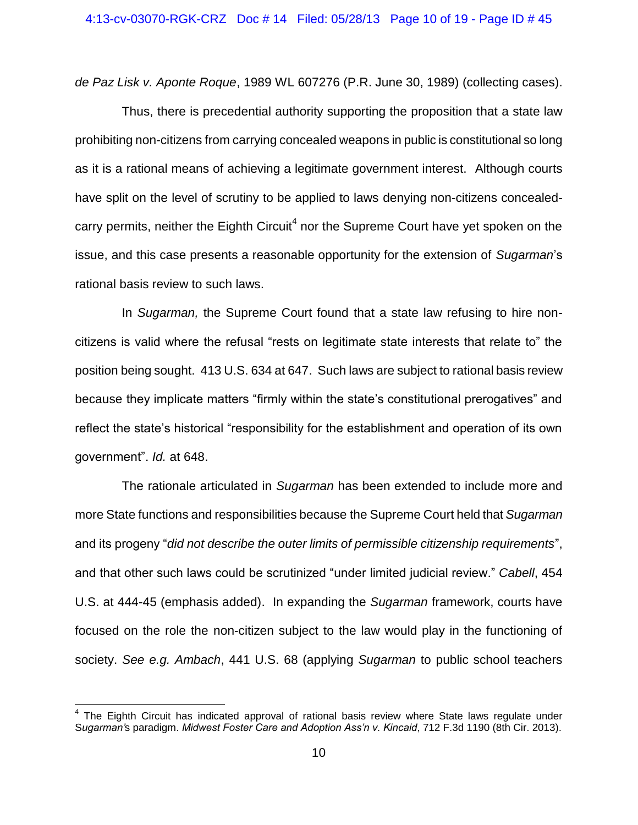*de Paz Lisk v. Aponte Roque*, 1989 WL 607276 (P.R. June 30, 1989) (collecting cases).

Thus, there is precedential authority supporting the proposition that a state law prohibiting non-citizens from carrying concealed weapons in public is constitutional so long as it is a rational means of achieving a legitimate government interest. Although courts have split on the level of scrutiny to be applied to laws denying non-citizens concealedcarry permits, neither the Eighth Circuit<sup>4</sup> nor the Supreme Court have yet spoken on the issue, and this case presents a reasonable opportunity for the extension of *Sugarman*'s rational basis review to such laws.

In *Sugarman,* the Supreme Court found that a state law refusing to hire noncitizens is valid where the refusal "rests on legitimate state interests that relate to" the position being sought. 413 U.S. 634 at 647. Such laws are subject to rational basis review because they implicate matters "firmly within the state's constitutional prerogatives" and reflect the state's historical "responsibility for the establishment and operation of its own government". *Id.* at 648.

The rationale articulated in *Sugarman* has been extended to include more and more State functions and responsibilities because the Supreme Court held that *Sugarman*  and its progeny "*did not describe the outer limits of permissible citizenship requirements*", and that other such laws could be scrutinized "under limited judicial review." *Cabell*, 454 U.S. at 444-45 (emphasis added). In expanding the *Sugarman* framework, courts have focused on the role the non-citizen subject to the law would play in the functioning of society. *See e.g. Ambach*, 441 U.S. 68 (applying *Sugarman* to public school teachers

 $\overline{\phantom{a}}$ 

<sup>&</sup>lt;sup>4</sup> The Eighth Circuit has indicated approval of rational basis review where State laws regulate under S*ugarman'*s paradigm. *Midwest Foster Care and Adoption Ass'n v. Kincaid*, 712 F.3d 1190 (8th Cir. 2013).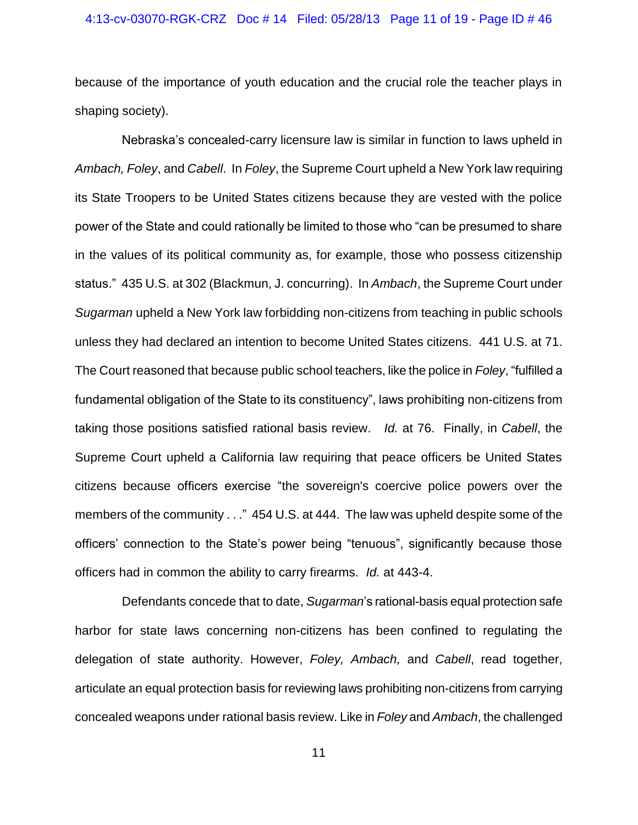### 4:13-cv-03070-RGK-CRZ Doc # 14 Filed: 05/28/13 Page 11 of 19 - Page ID # 46

because of the importance of youth education and the crucial role the teacher plays in shaping society).

Nebraska's concealed-carry licensure law is similar in function to laws upheld in *Ambach, Foley*, and *Cabell*. In *Foley*, the Supreme Court upheld a New York law requiring its State Troopers to be United States citizens because they are vested with the police power of the State and could rationally be limited to those who "can be presumed to share in the values of its political community as, for example, those who possess citizenship status." 435 U.S. at 302 (Blackmun, J. concurring). In *Ambach*, the Supreme Court under *Sugarman* upheld a New York law forbidding non-citizens from teaching in public schools unless they had declared an intention to become United States citizens. 441 U.S. at 71. The Court reasoned that because public school teachers, like the police in *Foley*, "fulfilled a fundamental obligation of the State to its constituency", laws prohibiting non-citizens from taking those positions satisfied rational basis review. *Id.* at 76. Finally, in *Cabell*, the Supreme Court upheld a California law requiring that peace officers be United States citizens because officers exercise "the sovereign's coercive police powers over the members of the community . . ." 454 U.S. at 444. The law was upheld despite some of the officers' connection to the State's power being "tenuous", significantly because those officers had in common the ability to carry firearms. *Id.* at 443-4.

Defendants concede that to date, *Sugarman*'s rational-basis equal protection safe harbor for state laws concerning non-citizens has been confined to regulating the delegation of state authority. However, *Foley, Ambach,* and *Cabell*, read together, articulate an equal protection basis for reviewing laws prohibiting non-citizens from carrying concealed weapons under rational basis review. Like in *Foley* and *Ambach*, the challenged

11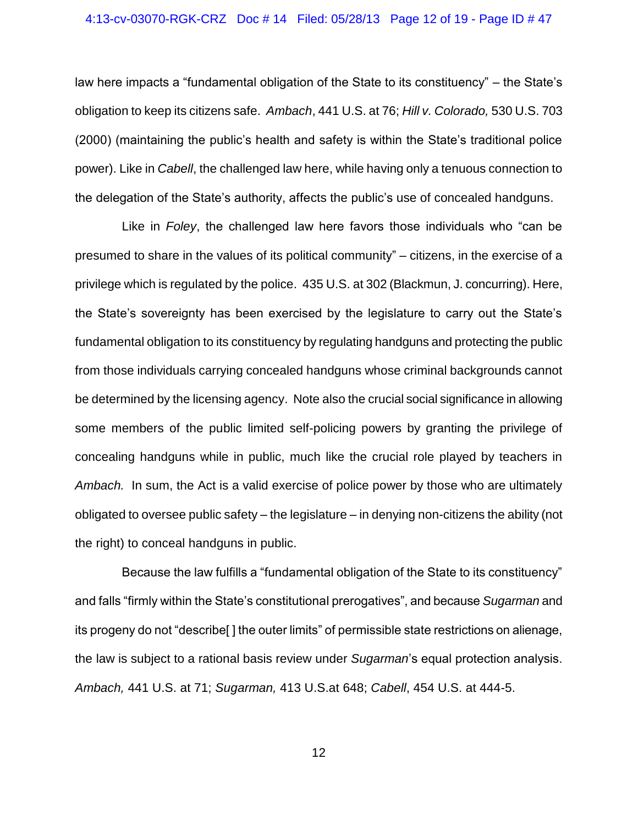#### 4:13-cv-03070-RGK-CRZ Doc # 14 Filed: 05/28/13 Page 12 of 19 - Page ID # 47

law here impacts a "fundamental obligation of the State to its constituency" – the State's obligation to keep its citizens safe. *Ambach*, 441 U.S. at 76; *Hill v. Colorado,* 530 U.S. 703 (2000) (maintaining the public's health and safety is within the State's traditional police power). Like in *Cabell*, the challenged law here, while having only a tenuous connection to the delegation of the State's authority, affects the public's use of concealed handguns.

Like in *Foley*, the challenged law here favors those individuals who "can be presumed to share in the values of its political community" – citizens, in the exercise of a privilege which is regulated by the police. 435 U.S. at 302 (Blackmun, J. concurring). Here, the State's sovereignty has been exercised by the legislature to carry out the State's fundamental obligation to its constituency by regulating handguns and protecting the public from those individuals carrying concealed handguns whose criminal backgrounds cannot be determined by the licensing agency. Note also the crucial social significance in allowing some members of the public limited self-policing powers by granting the privilege of concealing handguns while in public, much like the crucial role played by teachers in *Ambach.* In sum, the Act is a valid exercise of police power by those who are ultimately obligated to oversee public safety – the legislature – in denying non-citizens the ability (not the right) to conceal handguns in public.

Because the law fulfills a "fundamental obligation of the State to its constituency" and falls "firmly within the State's constitutional prerogatives", and because *Sugarman* and its progeny do not "describe[ ] the outer limits" of permissible state restrictions on alienage, the law is subject to a rational basis review under *Sugarman*'s equal protection analysis. *Ambach,* 441 U.S. at 71; *Sugarman,* 413 U.S.at 648; *Cabell*, 454 U.S. at 444-5.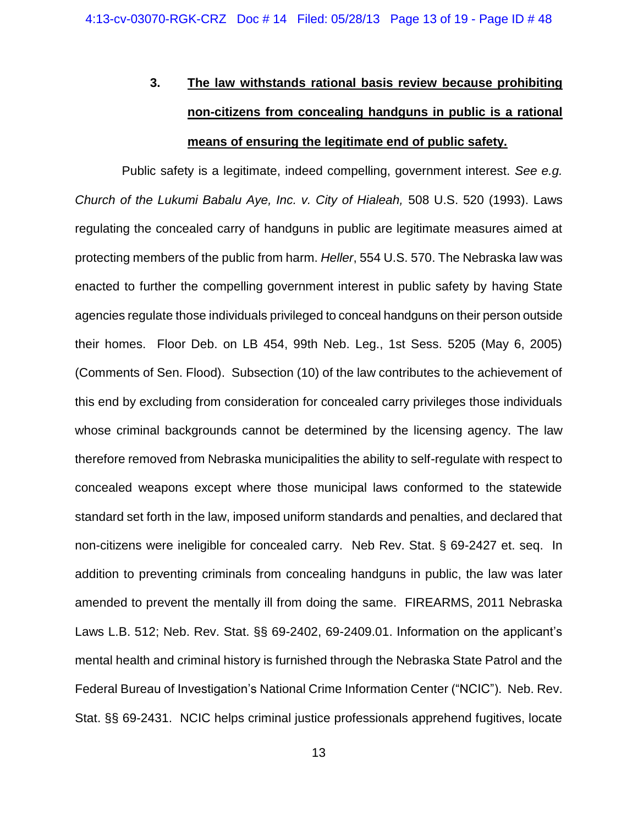# **3. The law withstands rational basis review because prohibiting non-citizens from concealing handguns in public is a rational means of ensuring the legitimate end of public safety.**

Public safety is a legitimate, indeed compelling, government interest. *See e.g. Church of the Lukumi Babalu Aye, Inc. v. City of Hialeah,* 508 U.S. 520 (1993). Laws regulating the concealed carry of handguns in public are legitimate measures aimed at protecting members of the public from harm. *Heller*, 554 U.S. 570. The Nebraska law was enacted to further the compelling government interest in public safety by having State agencies regulate those individuals privileged to conceal handguns on their person outside their homes. Floor Deb. on LB 454, 99th Neb. Leg., 1st Sess. 5205 (May 6, 2005) (Comments of Sen. Flood). Subsection (10) of the law contributes to the achievement of this end by excluding from consideration for concealed carry privileges those individuals whose criminal backgrounds cannot be determined by the licensing agency. The law therefore removed from Nebraska municipalities the ability to self-regulate with respect to concealed weapons except where those municipal laws conformed to the statewide standard set forth in the law, imposed uniform standards and penalties, and declared that non-citizens were ineligible for concealed carry. Neb Rev. Stat. § 69-2427 et. seq. In addition to preventing criminals from concealing handguns in public, the law was later amended to prevent the mentally ill from doing the same. FIREARMS, 2011 Nebraska Laws L.B. 512; Neb. Rev. Stat. §§ 69-2402, 69-2409.01. Information on the applicant's mental health and criminal history is furnished through the Nebraska State Patrol and the Federal Bureau of Investigation's National Crime Information Center ("NCIC"). Neb. Rev. Stat. §§ 69-2431. NCIC helps criminal justice professionals apprehend fugitives, locate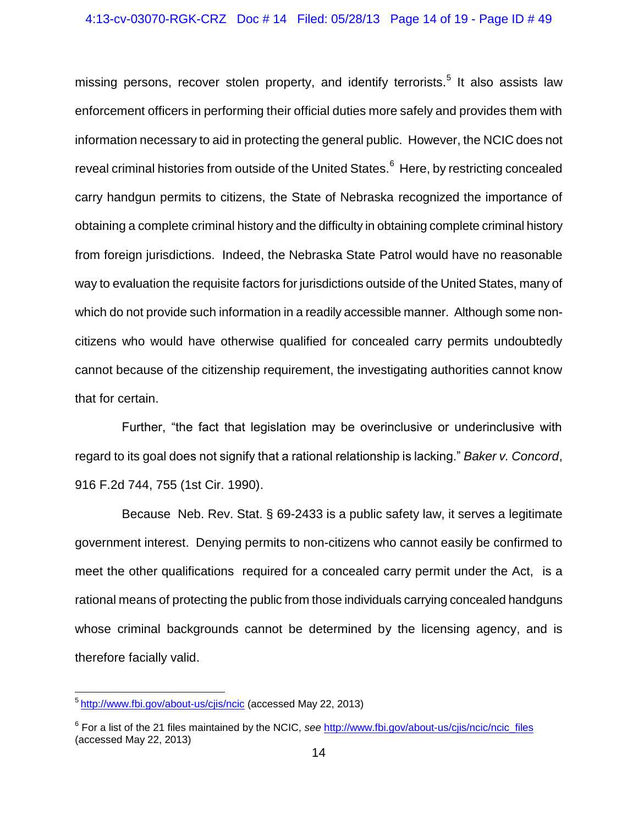### 4:13-cv-03070-RGK-CRZ Doc # 14 Filed: 05/28/13 Page 14 of 19 - Page ID # 49

missing persons, recover stolen property, and identify terrorists.<sup>5</sup> It also assists law enforcement officers in performing their official duties more safely and provides them with information necessary to aid in protecting the general public. However, the NCIC does not reveal criminal histories from outside of the United States.<sup>6</sup> Here, by restricting concealed carry handgun permits to citizens, the State of Nebraska recognized the importance of obtaining a complete criminal history and the difficulty in obtaining complete criminal history from foreign jurisdictions. Indeed, the Nebraska State Patrol would have no reasonable way to evaluation the requisite factors for jurisdictions outside of the United States, many of which do not provide such information in a readily accessible manner. Although some noncitizens who would have otherwise qualified for concealed carry permits undoubtedly cannot because of the citizenship requirement, the investigating authorities cannot know that for certain.

Further, "the fact that legislation may be overinclusive or underinclusive with regard to its goal does not signify that a rational relationship is lacking." *Baker v. Concord*, 916 F.2d 744, 755 (1st Cir. 1990).

Because Neb. Rev. Stat. § 69-2433 is a public safety law, it serves a legitimate government interest. Denying permits to non-citizens who cannot easily be confirmed to meet the other qualifications required for a concealed carry permit under the Act, is a rational means of protecting the public from those individuals carrying concealed handguns whose criminal backgrounds cannot be determined by the licensing agency, and is therefore facially valid.

<sup>&</sup>lt;u>s<br><sup>5</sup> <http://www.fbi.gov/about-us/cjis/ncic></u> (accessed May 22, 2013)

<sup>&</sup>lt;sup>6</sup> For a list of the 21 files maintained by the NCIC, *see* [http://www.fbi.gov/about-us/cjis/ncic/ncic\\_files](http://www.fbi.gov/about-us/cjis/ncic/ncic_files) (accessed May 22, 2013)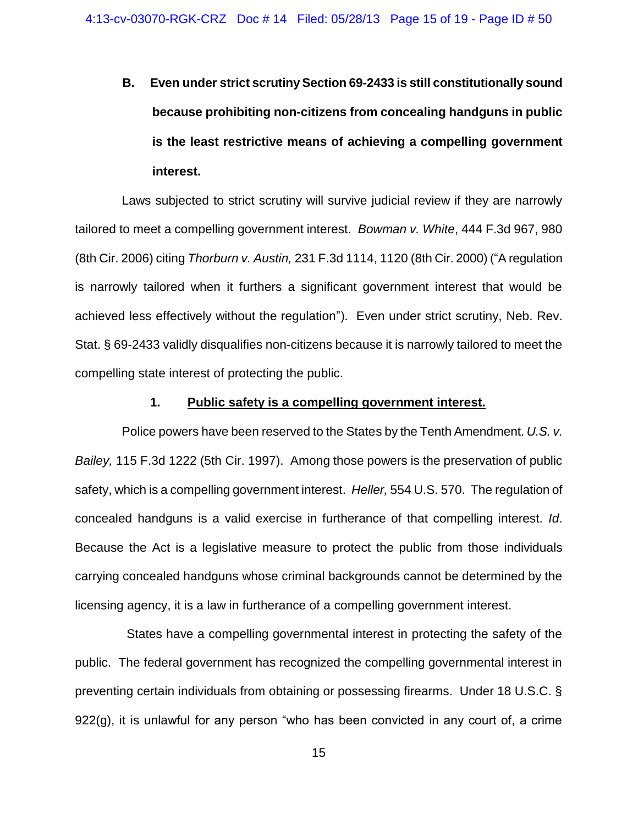**B. Even under strict scrutiny Section 69-2433 is still constitutionally sound because prohibiting non-citizens from concealing handguns in public is the least restrictive means of achieving a compelling government interest.**

Laws subjected to strict scrutiny will survive judicial review if they are narrowly tailored to meet a compelling government interest. *Bowman v. White*, 444 F.3d 967, 980 (8th Cir. 2006) citing *Thorburn v. Austin,* 231 F.3d 1114, 1120 (8th Cir. 2000) ("A regulation is narrowly tailored when it furthers a significant government interest that would be achieved less effectively without the regulation"). Even under strict scrutiny, Neb. Rev. Stat. § 69-2433 validly disqualifies non-citizens because it is narrowly tailored to meet the compelling state interest of protecting the public.

### **1. Public safety is a compelling government interest.**

Police powers have been reserved to the States by the Tenth Amendment. *U.S. v. Bailey,* 115 F.3d 1222 (5th Cir. 1997). Among those powers is the preservation of public safety, which is a compelling government interest. *Heller,* 554 U.S. 570. The regulation of concealed handguns is a valid exercise in furtherance of that compelling interest. *Id*. Because the Act is a legislative measure to protect the public from those individuals carrying concealed handguns whose criminal backgrounds cannot be determined by the licensing agency, it is a law in furtherance of a compelling government interest.

States have a compelling governmental interest in protecting the safety of the public. The federal government has recognized the compelling governmental interest in preventing certain individuals from obtaining or possessing firearms. Under 18 U.S.C. § 922(g), it is unlawful for any person "who has been convicted in any court of, a crime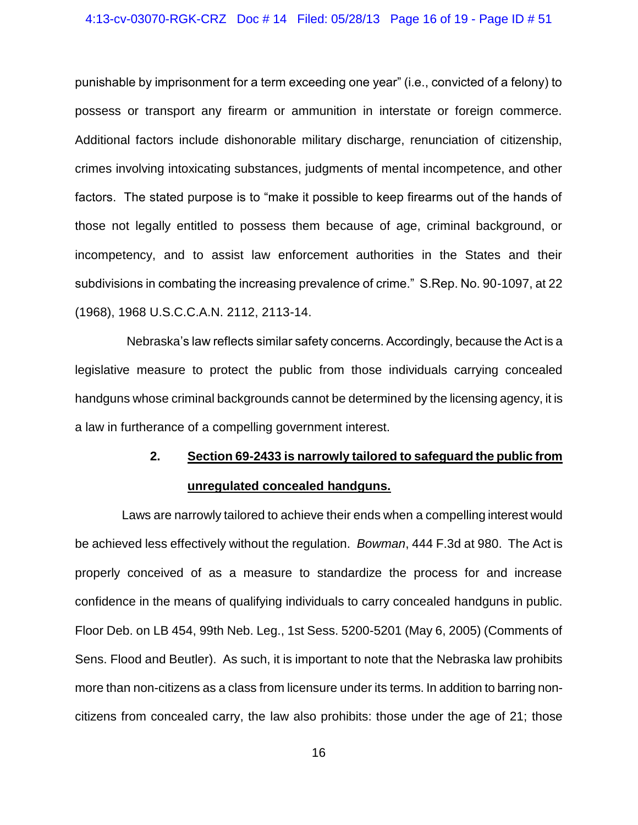### 4:13-cv-03070-RGK-CRZ Doc # 14 Filed: 05/28/13 Page 16 of 19 - Page ID # 51

punishable by imprisonment for a term exceeding one year" (i.e., convicted of a felony) to possess or transport any firearm or ammunition in interstate or foreign commerce. Additional factors include dishonorable military discharge, renunciation of citizenship, crimes involving intoxicating substances, judgments of mental incompetence, and other factors. The stated purpose is to "make it possible to keep firearms out of the hands of those not legally entitled to possess them because of age, criminal background, or incompetency, and to assist law enforcement authorities in the States and their subdivisions in combating the increasing prevalence of crime." S.Rep. No. 90-1097, at 22 (1968), 1968 U.S.C.C.A.N. 2112, 2113-14.

Nebraska's law reflects similar safety concerns. Accordingly, because the Act is a legislative measure to protect the public from those individuals carrying concealed handguns whose criminal backgrounds cannot be determined by the licensing agency, it is a law in furtherance of a compelling government interest.

### **2. Section 69-2433 is narrowly tailored to safeguard the public from**

### **unregulated concealed handguns.**

Laws are narrowly tailored to achieve their ends when a compelling interest would be achieved less effectively without the regulation. *Bowman*, 444 F.3d at 980. The Act is properly conceived of as a measure to standardize the process for and increase confidence in the means of qualifying individuals to carry concealed handguns in public. Floor Deb. on LB 454, 99th Neb. Leg., 1st Sess. 5200-5201 (May 6, 2005) (Comments of Sens. Flood and Beutler). As such, it is important to note that the Nebraska law prohibits more than non-citizens as a class from licensure under its terms. In addition to barring noncitizens from concealed carry, the law also prohibits: those under the age of 21; those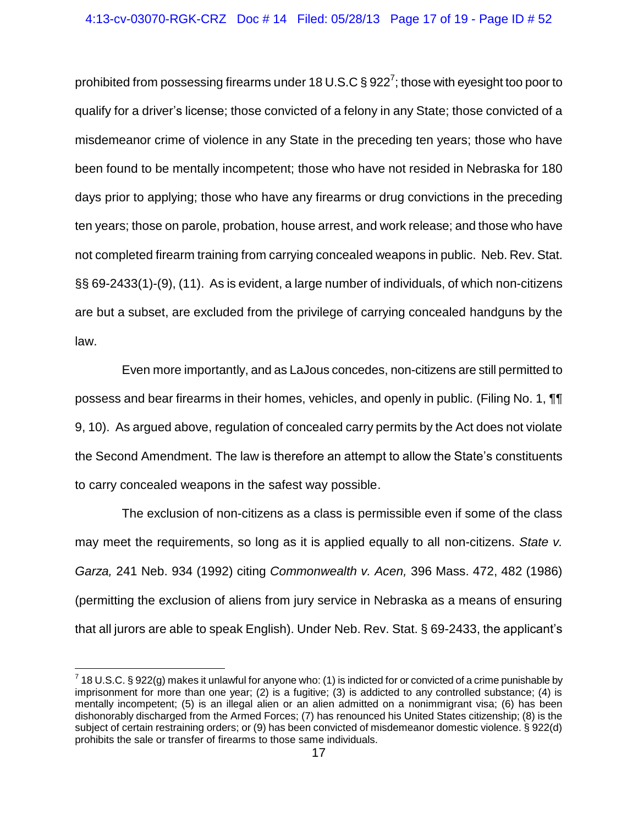prohibited from possessing firearms under 18 U.S.C § 922<sup>7</sup>; those with eyesight too poor to qualify for a driver's license; those convicted of a felony in any State; those convicted of a misdemeanor crime of violence in any State in the preceding ten years; those who have been found to be mentally incompetent; those who have not resided in Nebraska for 180 days prior to applying; those who have any firearms or drug convictions in the preceding ten years; those on parole, probation, house arrest, and work release; and those who have not completed firearm training from carrying concealed weapons in public. Neb. Rev. Stat. §§ 69-2433(1)-(9), (11). As is evident, a large number of individuals, of which non-citizens are but a subset, are excluded from the privilege of carrying concealed handguns by the law.

Even more importantly, and as LaJous concedes, non-citizens are still permitted to possess and bear firearms in their homes, vehicles, and openly in public. (Filing No. 1, ¶¶ 9, 10). As argued above, regulation of concealed carry permits by the Act does not violate the Second Amendment. The law is therefore an attempt to allow the State's constituents to carry concealed weapons in the safest way possible.

The exclusion of non-citizens as a class is permissible even if some of the class may meet the requirements, so long as it is applied equally to all non-citizens. *State v. Garza,* 241 Neb. 934 (1992) citing *Commonwealth v. Acen,* 396 Mass. 472, 482 (1986) (permitting the exclusion of aliens from jury service in Nebraska as a means of ensuring that all jurors are able to speak English). Under Neb. Rev. Stat. § 69-2433, the applicant's

 $\overline{a}$  $^7$  18 U.S.C. § 922(g) makes it unlawful for anyone who: (1) is indicted for or convicted of a crime punishable by imprisonment for more than one year; (2) is a fugitive; (3) is addicted to any controlled substance; (4) is mentally incompetent; (5) is an illegal alien or an alien admitted on a nonimmigrant visa; (6) has been dishonorably discharged from the Armed Forces; (7) has renounced his United States citizenship; (8) is the subject of certain restraining orders; or (9) has been convicted of misdemeanor domestic violence. § 922(d) prohibits the sale or transfer of firearms to those same individuals.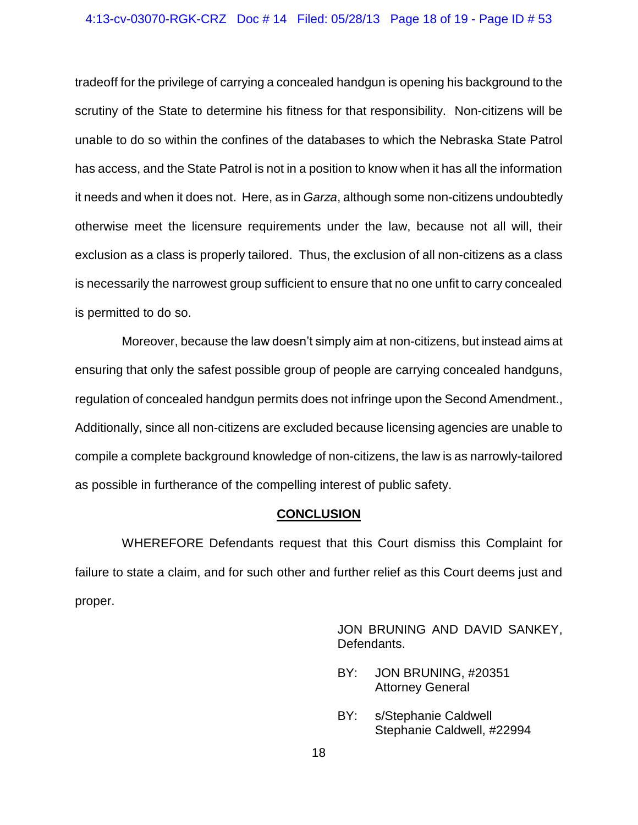#### 4:13-cv-03070-RGK-CRZ Doc # 14 Filed: 05/28/13 Page 18 of 19 - Page ID # 53

tradeoff for the privilege of carrying a concealed handgun is opening his background to the scrutiny of the State to determine his fitness for that responsibility. Non-citizens will be unable to do so within the confines of the databases to which the Nebraska State Patrol has access, and the State Patrol is not in a position to know when it has all the information it needs and when it does not. Here, as in *Garza*, although some non-citizens undoubtedly otherwise meet the licensure requirements under the law, because not all will, their exclusion as a class is properly tailored. Thus, the exclusion of all non-citizens as a class is necessarily the narrowest group sufficient to ensure that no one unfit to carry concealed is permitted to do so.

Moreover, because the law doesn't simply aim at non-citizens, but instead aims at ensuring that only the safest possible group of people are carrying concealed handguns, regulation of concealed handgun permits does not infringe upon the Second Amendment., Additionally, since all non-citizens are excluded because licensing agencies are unable to compile a complete background knowledge of non-citizens, the law is as narrowly-tailored as possible in furtherance of the compelling interest of public safety.

### **CONCLUSION**

WHEREFORE Defendants request that this Court dismiss this Complaint for failure to state a claim, and for such other and further relief as this Court deems just and proper.

> JON BRUNING AND DAVID SANKEY, Defendants.

- BY: JON BRUNING, #20351 Attorney General
- BY: s/Stephanie Caldwell Stephanie Caldwell, #22994